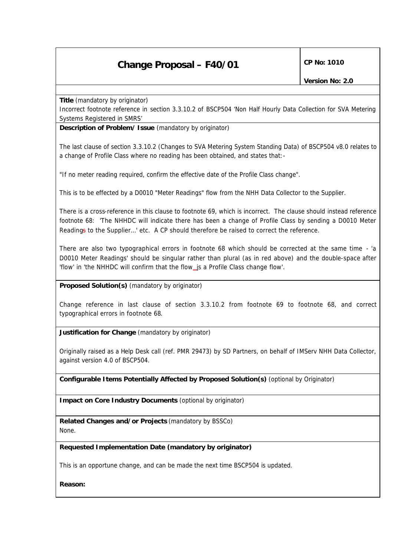## **Change Proposal – F40/01** CP No: 1010

**Title** *(mandatory by originator)*

Incorrect footnote reference in section 3.3.10.2 of BSCP504 'Non Half Hourly Data Collection for SVA Metering Systems Registered in SMRS'

**Description of Problem/ Issue** *(mandatory by originator)*

The last clause of section 3.3.10.2 (Changes to SVA Metering System Standing Data) of BSCP504 v8.0 relates to a change of Profile Class where no reading has been obtained, and states that:-

"If no meter reading required, confirm the effective date of the Profile Class change".

This is to be effected by a D0010 "Meter Readings" flow from the NHH Data Collector to the Supplier.

There is a cross-reference in this clause to footnote 69, which is incorrect. The clause should instead reference footnote 68: 'The NHHDC will indicate there has been a change of Profile Class by sending a D0010 Meter Readings to the Supplier…' etc. A CP should therefore be raised to correct the reference.

There are also two typographical errors in footnote 68 which should be corrected at the same time - 'a D0010 Meter Readings' should be singular rather than plural (as in red above) and the double-space after 'flow' in 'the NHHDC will confirm that the flow is a Profile Class change flow'.

**Proposed Solution(s)** *(mandatory by originator)*

Change reference in last clause of section 3.3.10.2 from footnote 69 to footnote 68, and correct typographical errors in footnote 68.

**Justification for Change** *(mandatory by originator)*

Originally raised as a Help Desk call (ref. PMR 29473) by SD Partners, on behalf of IMServ NHH Data Collector, against version 4.0 of BSCP504.

**Configurable Items Potentially Affected by Proposed Solution(s)** *(optional by Originator)*

**Impact on Core Industry Documents** *(optional by originator)*

**Related Changes and/or Projects** *(mandatory by BSSCo)* None.

**Requested Implementation Date** *(mandatory by originator)*

This is an opportune change, and can be made the next time BSCP504 is updated.

**Reason:**